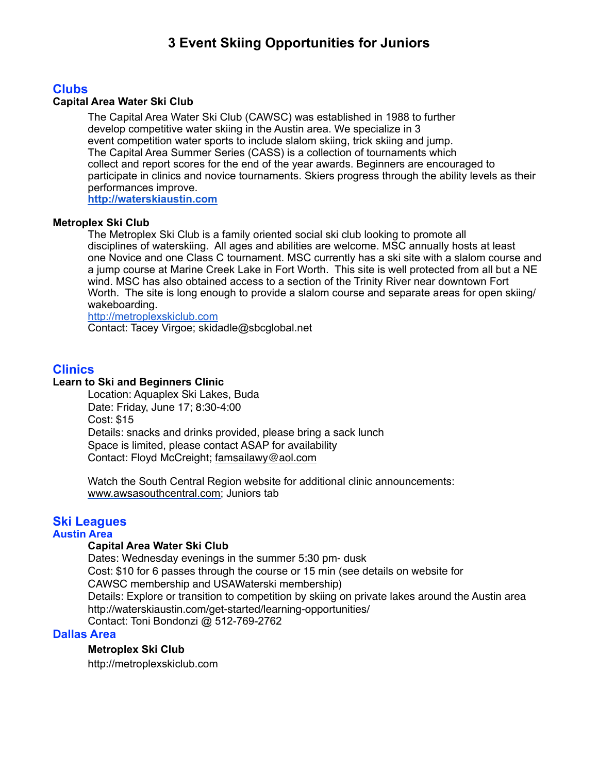# **3 Event Skiing Opportunities for Juniors**

## **Clubs**

#### **Capital Area Water Ski Club**

The Capital Area Water Ski Club (CAWSC) was established in 1988 to further develop competitive water skiing in the Austin area. We specialize in 3 event competition water sports to include slalom skiing, trick skiing and jump. The Capital Area Summer Series (CASS) is a collection of tournaments which collect and report scores for the end of the year awards. Beginners are encouraged to participate in clinics and novice tournaments. Skiers progress through the ability levels as their performances improve.

**<http://waterskiaustin.com>**

#### **Metroplex Ski Club**

The Metroplex Ski Club is a family oriented social ski club looking to promote all disciplines of waterskiing. All ages and abilities are welcome. MSC annually hosts at least one Novice and one Class C tournament. MSC currently has a ski site with a slalom course and a jump course at Marine Creek Lake in Fort Worth. This site is well protected from all but a NE wind. MSC has also obtained access to a section of the Trinity River near downtown Fort Worth. The site is long enough to provide a slalom course and separate areas for open skiing/ wakeboarding.

<http://metroplexskiclub.com> Contact: Tacey Virgoe; skidadle@sbcglobal.net

## **Clinics**

#### **Learn to Ski and Beginners Clinic**

Location: Aquaplex Ski Lakes, Buda Date: Friday, June 17; 8:30-4:00 Cost: \$15 Details: snacks and drinks provided, please bring a sack lunch Space is limited, please contact ASAP for availability Contact: Floyd McCreight; [famsailawy@aol.com](mailto:famsailawy@aol.com)

 Watch the South Central Region website for additional clinic announcements: [www.awsasouthcentral.com;](http://www.awsasouthcentral.com) Juniors tab

#### **Ski Leagues Austin Area**

#### **Capital Area Water Ski Club**

Dates: Wednesday evenings in the summer 5:30 pm- dusk Cost: \$10 for 6 passes through the course or 15 min (see details on website for CAWSC membership and USAWaterski membership) Details: Explore or transition to competition by skiing on private lakes around the Austin area <http://waterskiaustin.com/get-started/learning-opportunities/> Contact: Toni Bondonzi @ 512-769-2762

#### **Dallas Area**

### **Metroplex Ski Club**

http://metroplexskiclub.com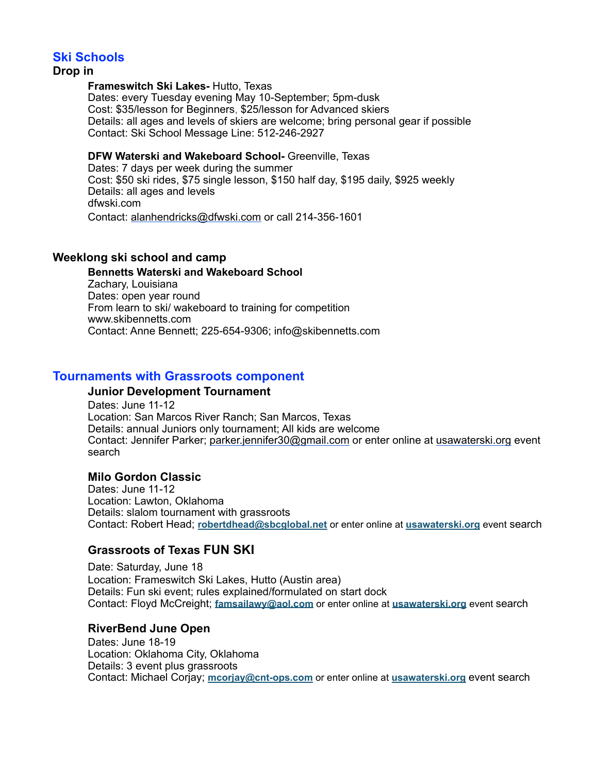## **Ski Schools**

#### **Drop in**

#### **Frameswitch Ski Lakes-** Hutto, Texas

 Dates: every Tuesday evening May 10-September; 5pm-dusk Cost: \$35/lesson for Beginners, \$25/lesson for Advanced skiers Details: all ages and levels of skiers are welcome; bring personal gear if possible Contact: Ski School Message Line: 512-246-2927

#### **DFW Waterski and Wakeboard School-** Greenville, Texas

 Dates: 7 days per week during the summer Cost: \$50 ski rides, \$75 single lesson, \$150 half day, \$195 daily, \$925 weekly Details: all ages and levels dfwski.com Contact: [alanhendricks@dfwski.com](mailto:alanhendricks@dfwski.com) or call 214-356-1601

### **Weeklong ski school and camp**

**Bennetts Waterski and Wakeboard School**  Zachary, Louisiana Dates: open year round From learn to ski/ wakeboard to training for competition www.skibennetts.com Contact: Anne Bennett; 225-654-9306; info@skibennetts.com

### **Tournaments with Grassroots component**

#### **Junior Development Tournament**

Dates: June 11-12 Location: San Marcos River Ranch; San Marcos, Texas Details: annual Juniors only tournament; All kids are welcome Contact: Jennifer Parker; [parker.jennifer30@gmail.com](mailto:parker.jennifer30@gmail.com) or enter online at [usawaterski.org](http://usawaterski.org) event search

### **Milo Gordon Classic**

 Dates: June 11-12 Location: Lawton, Oklahoma Details: slalom tournament with grassroots Contact: Robert Head; **[robertdhead@sbcglobal.net](mailto:robertdhead@sbcglobal.net)** or enter online at **[usawaterski.org](http://usawaterski.org)** event search

## **Grassroots of Texas FUN SKI**

Date: Saturday, June 18 Location: Frameswitch Ski Lakes, Hutto (Austin area) Details: Fun ski event; rules explained/formulated on start dock Contact: Floyd McCreight; **[famsailawy@aol.com](mailto:famsailawy@aol.com)** or enter online at **[usawaterski.org](http://usawaterski.org)** event search

### **RiverBend June Open**

Dates: June 18-19 Location: Oklahoma City, Oklahoma Details: 3 event plus grassroots Contact: Michael Corjay; **[mcorjay@cnt-ops.com](mailto:mcorjay@cnt-ops.com)** or enter online at **[usawaterski.org](http://usawaterski.org)** event search